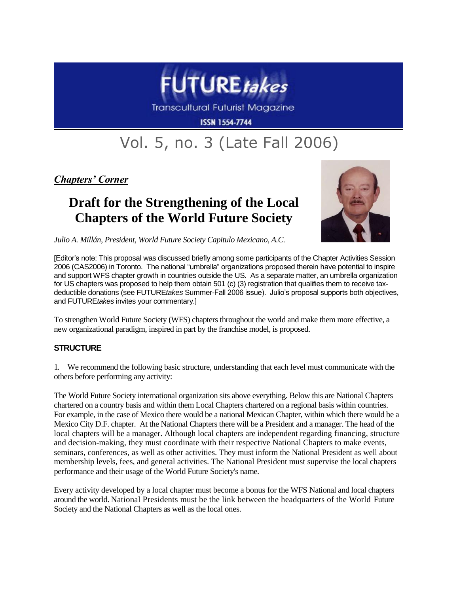

**Transcultural Futurist Magazine** 

**ISSN 1554-7744** 

## Vol. 5, no. 3 (Late Fall 2006)

*Chapters' Corner*

## **Draft for the Strengthening of the Local Chapters of the World Future Society**



*Julio A. Millán, President, World Future Society Capitulo Mexicano, A.C.*

[Editor's note: This proposal was discussed briefly among some participants of the Chapter Activities Session 2006 (CAS2006) in Toronto. The national "umbrella" organizations proposed therein have potential to inspire and support WFS chapter growth in countries outside the US. As a separate matter, an umbrella organization for US chapters was proposed to help them obtain 501 (c) (3) registration that qualifies them to receive taxdeductible donations (see FUTURE*takes* Summer-Fall 2006 issue). Julio's proposal supports both objectives, and FUTURE*takes* invites your commentary.]

To strengthen World Future Society (WFS) chapters throughout the world and make them more effective, a new organizational paradigm, inspired in part by the franchise model, is proposed.

## **STRUCTURE**

1. We recommend the following basic structure, understanding that each level must communicate with the others before performing any activity:

The World Future Society international organization sits above everything. Below this are National Chapters chartered on a country basis and within them Local Chapters chartered on a regional basis within countries. For example, in the case of Mexico there would be a national Mexican Chapter, within which there would be a Mexico City D.F. chapter. At the National Chapters there will be a President and a manager. The head of the local chapters will be a manager. Although local chapters are independent regarding financing, structure and decision-making, they must coordinate with their respective National Chapters to make events, seminars, conferences, as well as other activities. They must inform the National President as well about membership levels, fees, and general activities. The National President must supervise the local chapters performance and their usage of the World Future Society's name.

Every activity developed by a local chapter must become a bonus for the WFS National and local chapters around the world. National Presidents must be the link between the headquarters of the World Future Society and the National Chapters as well as the local ones.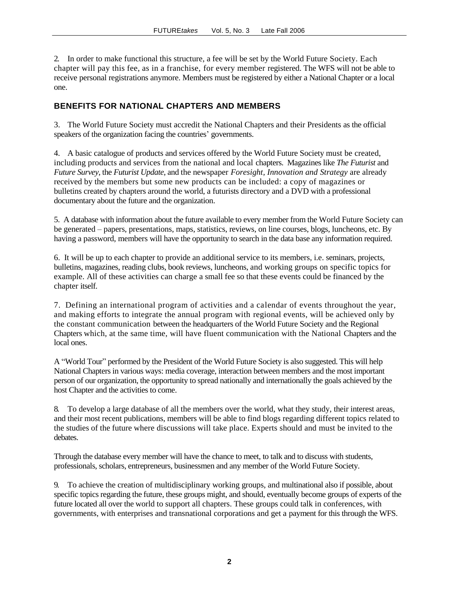2. In order to make functional this structure, a fee will be set by the World Future Society. Each chapter will pay this fee, as in a franchise, for every member registered. The WFS will not be able to receive personal registrations anymore. Members must be registered by either a National Chapter or a local one.

## **BENEFITS FOR NATIONAL CHAPTERS AND MEMBERS**

3. The World Future Society must accredit the National Chapters and their Presidents as the official speakers of the organization facing the countries' governments.

4. A basic catalogue of products and services offered by the World Future Society must be created, including products and services from the national and local chapters. Magazines like *The Futurist* and *Future Survey*, the *Futurist Update*, and the newspaper *Foresight, Innovation and Strategy* are already received by the members but some new products can be included: a copy of magazines or bulletins created by chapters around the world, a futurists directory and a DVD with a professional documentary about the future and the organization.

5. A database with information about the future available to every member from the World Future Society can be generated – papers, presentations, maps, statistics, reviews, on line courses, blogs, luncheons, etc. By having a password, members will have the opportunity to search in the data base any information required.

6. It will be up to each chapter to provide an additional service to its members, i.e. seminars, projects, bulletins, magazines, reading clubs, book reviews, luncheons, and working groups on specific topics for example. All of these activities can charge a small fee so that these events could be financed by the chapter itself.

7. Defining an international program of activities and a calendar of events throughout the year, and making efforts to integrate the annual program with regional events, will be achieved only by the constant communication between the headquarters of the World Future Society and the Regional Chapters which, at the same time, will have fluent communication with the National Chapters and the local ones.

A "World Tour" performed by the President of the World Future Society is also suggested. This will help National Chapters in various ways: media coverage, interaction between members and the most important person of our organization, the opportunity to spread nationally and internationally the goals achieved by the host Chapter and the activities to come.

8. To develop a large database of all the members over the world, what they study, their interest areas, and their most recent publications, members will be able to find blogs regarding different topics related to the studies of the future where discussions will take place. Experts should and must be invited to the debates.

Through the database every member will have the chance to meet, to talk and to discuss with students, professionals, scholars, entrepreneurs, businessmen and any member of the World Future Society.

9. To achieve the creation of multidisciplinary working groups, and multinational also if possible, about specific topics regarding the future, these groups might, and should, eventually become groups of experts of the future located all over the world to support all chapters. These groups could talk in conferences, with governments, with enterprises and transnational corporations and get a payment for this through the WFS.